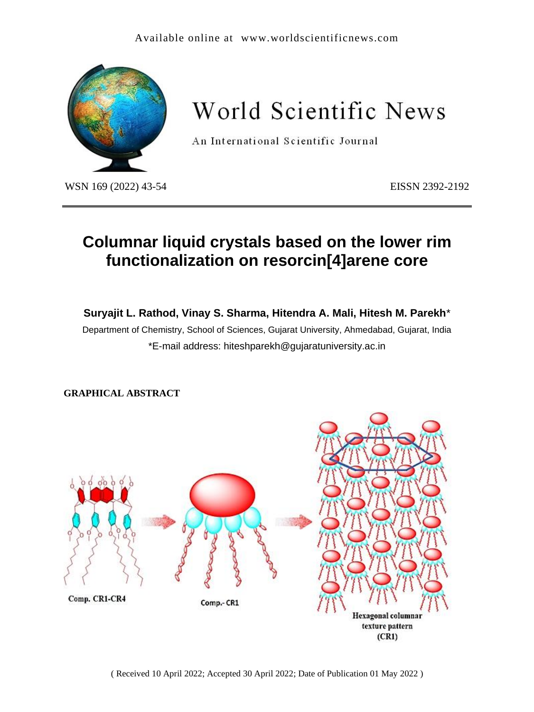## Available online at [www.worldscientificnews.com](http://www.worldscientificnews.com/)



World Scientific News

An International Scientific Journal

WSN 169 (2022) 43-54 EISSN 2392-2192

# **Columnar liquid crystals based on the lower rim functionalization on resorcin[4]arene core**

**Suryajit L. Rathod, Vinay S. Sharma, Hitendra A. Mali, Hitesh M. Parekh**\*

Department of Chemistry, School of Sciences, Gujarat University, Ahmedabad, Gujarat, India \*E-mail address: [hiteshparekh@gujaratuniversity.ac.in](mailto:hiteshparekh@gujaratuniversity.ac.in)

**GRAPHICAL ABSTRACT**

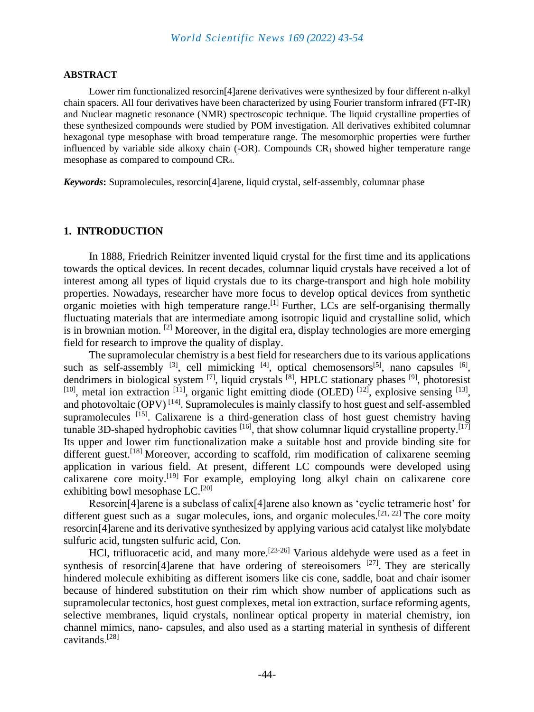#### **ABSTRACT**

Lower rim functionalized resorcin[4]arene derivatives were synthesized by four different n-alkyl chain spacers. All four derivatives have been characterized by using Fourier transform infrared (FT-IR) and Nuclear magnetic resonance (NMR) spectroscopic technique. The liquid crystalline properties of these synthesized compounds were studied by POM investigation. All derivatives exhibited columnar hexagonal type mesophase with broad temperature range. The mesomorphic properties were further influenced by variable side alkoxy chain  $(-OR)$ . Compounds  $CR<sub>1</sub>$  showed higher temperature range mesophase as compared to compound CR4.

*Keywords***:** Supramolecules, resorcin[4]arene, liquid crystal, self-assembly, columnar phase

#### **1. INTRODUCTION**

In 1888, Friedrich Reinitzer invented liquid crystal for the first time and its applications towards the optical devices. In recent decades, columnar liquid crystals have received a lot of interest among all types of liquid crystals due to its charge-transport and high hole mobility properties. Nowadays, researcher have more focus to develop optical devices from synthetic organic moieties with high temperature range.[1] Further, LCs are self-organising thermally fluctuating materials that are intermediate among isotropic liquid and crystalline solid, which is in brownian motion.  $[2]$  Moreover, in the digital era, display technologies are more emerging field for research to improve the quality of display.

The supramolecular chemistry is a best field for researchers due to its various applications such as self-assembly  $^{[3]}$ , cell mimicking  $^{[4]}$ , optical chemosensors<sup>[5]</sup>, nano capsules  $^{[6]}$ , dendrimers in biological system [7], liquid crystals [8], HPLC stationary phases [9], photoresist  $[10]$ , metal ion extraction  $[11]$ , organic light emitting diode (OLED)  $[12]$ , explosive sensing  $[13]$ , and photovoltaic (OPV) [14]. Supramolecules is mainly classify to host guest and self-assembled supramolecules  $[15]$ . Calixarene is a third-generation class of host guest chemistry having tunable 3D-shaped hydrophobic cavities  $[16]$ , that show columnar liquid crystalline property.  $[17]$ Its upper and lower rim functionalization make a suitable host and provide binding site for different guest.<sup>[18]</sup> Moreover, according to scaffold, rim modification of calixarene seeming application in various field. At present, different LC compounds were developed using calixarene core moity.[19] For example, employing long alkyl chain on calixarene core exhibiting bowl mesophase LC.<sup>[20]</sup>

Resorcin[4]arene is a subclass of calix[4]arene also known as 'cyclic tetrameric host' for different guest such as a sugar molecules, ions, and organic molecules.<sup>[21, 22]</sup> The core moity resorcin[4]arene and its derivative synthesized by applying various acid catalyst like molybdate sulfuric acid, tungsten sulfuric acid, Con.

HCl, trifluoracetic acid, and many more.<sup>[23-26]</sup> Various aldehyde were used as a feet in synthesis of resorcin<sup>[4]</sup> arene that have ordering of stereoisomers  $[27]$ . They are sterically hindered molecule exhibiting as different isomers like cis cone, saddle, boat and chair isomer because of hindered substitution on their rim which show number of applications such as supramolecular tectonics, host guest complexes, metal ion extraction, surface reforming agents, selective membranes, liquid crystals, nonlinear optical property in material chemistry, ion channel mimics, nano- capsules, and also used as a starting material in synthesis of different cavitands. [28]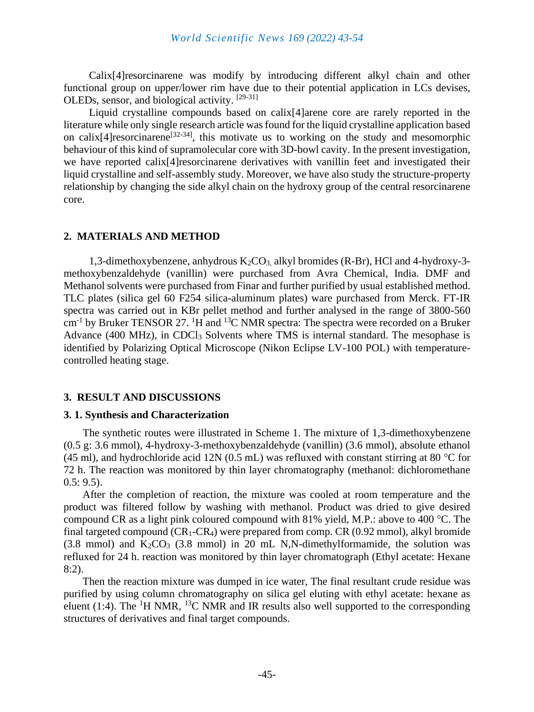Calix[4]resorcinarene was modify by introducing different alkyl chain and other functional group on upper/lower rim have due to their potential application in LCs devises, OLEDs, sensor, and biological activity. [29-31]

Liquid crystalline compounds based on calix[4]arene core are rarely reported in the literature while only single research article was found for the liquid crystalline application based on calix<sup>[4]</sup>resorcinarene<sup>[32-34]</sup>, this motivate us to working on the study and mesomorphic behaviour of this kind of supramolecular core with 3D-bowl cavity. In the present investigation, we have reported calix[4]resorcinarene derivatives with vanillin feet and investigated their liquid crystalline and self-assembly study. Moreover, we have also study the structure-property relationship by changing the side alkyl chain on the hydroxy group of the central resorcinarene core.

### **2. MATERIALS AND METHOD**

1,3-dimethoxybenzene, anhydrous K2CO3, alkyl bromides (R-Br), HCl and 4-hydroxy-3 methoxybenzaldehyde (vanillin) were purchased from Avra Chemical, India. DMF and Methanol solvents were purchased from Finar and further purified by usual established method. TLC plates (silica gel 60 F254 silica-aluminum plates) ware purchased from Merck. FT-IR spectra was carried out in KBr pellet method and further analysed in the range of 3800-560  $cm<sup>-1</sup>$  by Bruker TENSOR 27. <sup>1</sup>H and <sup>13</sup>C NMR spectra: The spectra were recorded on a Bruker Advance (400 MHz), in CDCl<sub>3</sub> Solvents where TMS is internal standard. The mesophase is identified by Polarizing Optical Microscope (Nikon Eclipse LV-100 POL) with temperaturecontrolled heating stage.

## **3. RESULT AND DISCUSSIONS**

#### **3. 1. Synthesis and Characterization**

The synthetic routes were illustrated in Scheme 1. The mixture of 1,3-dimethoxybenzene (0.5 g: 3.6 mmol), 4-hydroxy-3-methoxybenzaldehyde (vanillin) (3.6 mmol), absolute ethanol (45 ml), and hydrochloride acid 12N (0.5 mL) was refluxed with constant stirring at 80  $^{\circ}$ C for 72 h. The reaction was monitored by thin layer chromatography (methanol: dichloromethane  $0.5: 9.5$ ).

After the completion of reaction, the mixture was cooled at room temperature and the product was filtered follow by washing with methanol. Product was dried to give desired compound CR as a light pink coloured compound with 81% yield, M.P.: above to 400 °C. The final targeted compound  $(CR_1-CR_4)$  were prepared from comp.  $CR(0.92 \text{ mmol})$ , alkyl bromide  $(3.8 \text{ mmol})$  and  $K_2CO_3$   $(3.8 \text{ mmol})$  in 20 mL N,N-dimethylformamide, the solution was refluxed for 24 h. reaction was monitored by thin layer chromatograph (Ethyl acetate: Hexane 8:2).

Then the reaction mixture was dumped in ice water, The final resultant crude residue was purified by using column chromatography on silica gel eluting with ethyl acetate: hexane as eluent (1:4). The <sup>1</sup>H NMR, <sup>13</sup>C NMR and IR results also well supported to the corresponding structures of derivatives and final target compounds.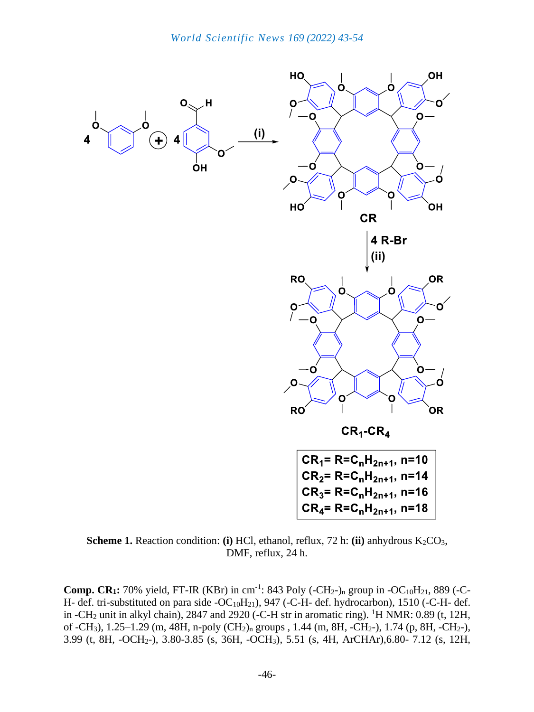

**Scheme 1.** Reaction condition: **(i)** HCl, ethanol, reflux, 72 h: **(ii)** anhydrous K<sub>2</sub>CO<sub>3</sub>, DMF, reflux, 24 h.

**Comp. CR<sub>1</sub>:** 70% yield, FT-IR (KBr) in cm<sup>-1</sup>: 843 Poly (-CH<sub>2</sub>-)<sub>n</sub> group in -OC<sub>10</sub>H<sub>21</sub>, 889 (-C-H- def. tri-substituted on para side -OC10H21), 947 (-C-H- def. hydrocarbon), 1510 (-C-H- def. in -CH<sub>2</sub> unit in alkyl chain), 2847 and 2920 (-C-H str in aromatic ring). <sup>1</sup>H NMR: 0.89 (t, 12H, of -CH3), 1.25–1.29 (m, 48H, n-poly (CH2)<sup>n</sup> groups , 1.44 (m, 8H, -CH2-), 1.74 (p, 8H, -CH2-), 3.99 (t, 8H, -OCH2-), 3.80-3.85 (s, 36H, -OCH3), 5.51 (s, 4H, ArCHAr),6.80- 7.12 (s, 12H,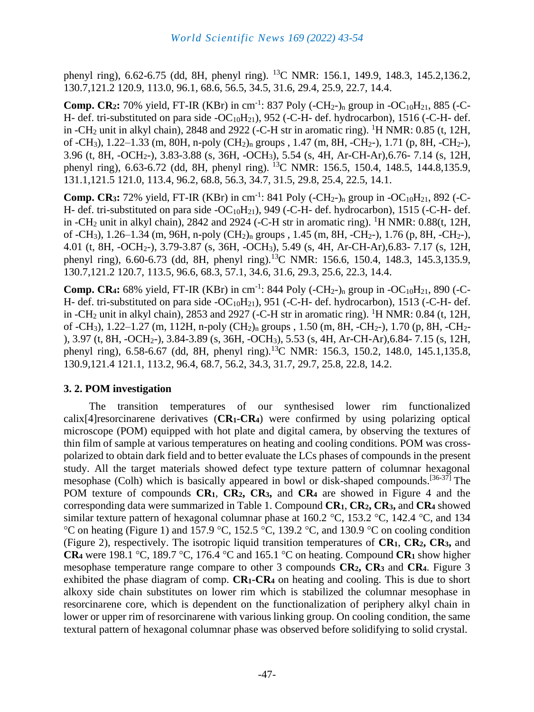phenyl ring), 6.62-6.75 (dd, 8H, phenyl ring). <sup>13</sup>C NMR: 156.1, 149.9, 148.3, 145.2,136.2, 130.7,121.2 120.9, 113.0, 96.1, 68.6, 56.5, 34.5, 31.6, 29.4, 25.9, 22.7, 14.4.

**Comp. CR<sub>2</sub>:** 70% yield, FT-IR (KBr) in cm<sup>-1</sup>: 837 Poly (-CH<sub>2</sub>-)<sub>n</sub> group in -OC<sub>10</sub>H<sub>21</sub>, 885 (-C-H- def. tri-substituted on para side -OC<sub>10</sub>H<sub>21</sub>), 952 (-C-H- def. hydrocarbon), 1516 (-C-H- def. in -CH<sub>2</sub> unit in alkyl chain), 2848 and 2922 (-C-H str in aromatic ring). <sup>1</sup>H NMR: 0.85 (t, 12H, of -CH3), 1.22–1.33 (m, 80H, n-poly (CH2)<sup>n</sup> groups , 1.47 (m, 8H, -CH2-), 1.71 (p, 8H, -CH2-), 3.96 (t, 8H, -OCH2-), 3.83-3.88 (s, 36H, -OCH3), 5.54 (s, 4H, Ar-CH-Ar),6.76- 7.14 (s, 12H, phenyl ring), 6.63-6.72 (dd, 8H, phenyl ring). <sup>13</sup>C NMR: 156.5, 150.4, 148.5, 144.8,135.9, 131.1,121.5 121.0, 113.4, 96.2, 68.8, 56.3, 34.7, 31.5, 29.8, 25.4, 22.5, 14.1.

**Comp. CR<sub>3</sub>:** 72% yield, FT-IR (KBr) in cm<sup>-1</sup>: 841 Poly (-CH<sub>2</sub>-)<sub>n</sub> group in -OC<sub>10</sub>H<sub>21</sub>, 892 (-C-H- def. tri-substituted on para side -OC<sub>10</sub>H<sub>21</sub>), 949 (-C-H- def. hydrocarbon), 1515 (-C-H- def. in -CH<sub>2</sub> unit in alkyl chain), 2842 and 2924 (-C-H str in aromatic ring). <sup>1</sup>H NMR: 0.88(t, 12H, of -CH3), 1.26–1.34 (m, 96H, n-poly (CH2)<sup>n</sup> groups , 1.45 (m, 8H, -CH2-), 1.76 (p, 8H, -CH2-), 4.01 (t, 8H, -OCH2-), 3.79-3.87 (s, 36H, -OCH3), 5.49 (s, 4H, Ar-CH-Ar),6.83- 7.17 (s, 12H, phenyl ring), 6.60-6.73 (dd, 8H, phenyl ring).<sup>13</sup>C NMR: 156.6, 150.4, 148.3, 145.3,135.9, 130.7,121.2 120.7, 113.5, 96.6, 68.3, 57.1, 34.6, 31.6, 29.3, 25.6, 22.3, 14.4.

**Comp. CR4:** 68% yield, FT-IR (KBr) in cm<sup>-1</sup>: 844 Poly (-CH<sub>2</sub>-)<sub>n</sub> group in -OC<sub>10</sub>H<sub>21</sub>, 890 (-C-H- def. tri-substituted on para side -OC<sub>10</sub>H<sub>21</sub>), 951 (-C-H- def. hydrocarbon), 1513 (-C-H- def. in -CH<sub>2</sub> unit in alkyl chain), 2853 and 2927 (-C-H str in aromatic ring). <sup>1</sup>H NMR: 0.84 (t, 12H, of -CH<sub>3</sub>), 1.22–1.27 (m, 112H, n-poly (CH<sub>2</sub>)<sub>n</sub> groups , 1.50 (m, 8H, -CH<sub>2</sub>-), 1.70 (p, 8H, -CH<sub>2</sub>-), 3.97 (t, 8H, -OCH2-), 3.84-3.89 (s, 36H, -OCH3), 5.53 (s, 4H, Ar-CH-Ar),6.84- 7.15 (s, 12H, phenyl ring), 6.58-6.67 (dd, 8H, phenyl ring).<sup>13</sup>C NMR: 156.3, 150.2, 148.0, 145.1,135.8, 130.9,121.4 121.1, 113.2, 96.4, 68.7, 56.2, 34.3, 31.7, 29.7, 25.8, 22.8, 14.2.

# **3. 2. POM investigation**

The transition temperatures of our synthesised lower rim functionalized calix[4]resorcinarene derivatives (**CR1-CR4**) were confirmed by using polarizing optical microscope (POM) equipped with hot plate and digital camera, by observing the textures of thin film of sample at various temperatures on heating and cooling conditions. POM was crosspolarized to obtain dark field and to better evaluate the LCs phases of compounds in the present study. All the target materials showed defect type texture pattern of columnar hexagonal mesophase (Colh) which is basically appeared in bowl or disk-shaped compounds.[36-37] The POM texture of compounds **CR1**, **CR2, CR3,** and **CR<sup>4</sup>** are showed in Figure 4 and the corresponding data were summarized in Table 1. Compound **CR1**, **CR2, CR3,** and **CR<sup>4</sup>** showed similar texture pattern of hexagonal columnar phase at 160.2 °C, 153.2 °C, 142.4 °C, and 134 °C on heating (Figure 1) and 157.9 °C, 152.5 °C, 139.2 °C, and 130.9 °C on cooling condition (Figure 2), respectively. The isotropic liquid transition temperatures of **CR1**, **CR2, CR3,** and **CR<sup>4</sup>** were 198.1 °C, 189.7 °C, 176.4 °C and 165.1 °C on heating. Compound **CR<sup>1</sup>** show higher mesophase temperature range compare to other 3 compounds **CR2, CR<sup>3</sup>** and **CR4**. Figure 3 exhibited the phase diagram of comp. **CR1-CR<sup>4</sup>** on heating and cooling. This is due to short alkoxy side chain substitutes on lower rim which is stabilized the columnar mesophase in resorcinarene core, which is dependent on the functionalization of periphery alkyl chain in lower or upper rim of resorcinarene with various linking group. On cooling condition, the same textural pattern of hexagonal columnar phase was observed before solidifying to solid crystal.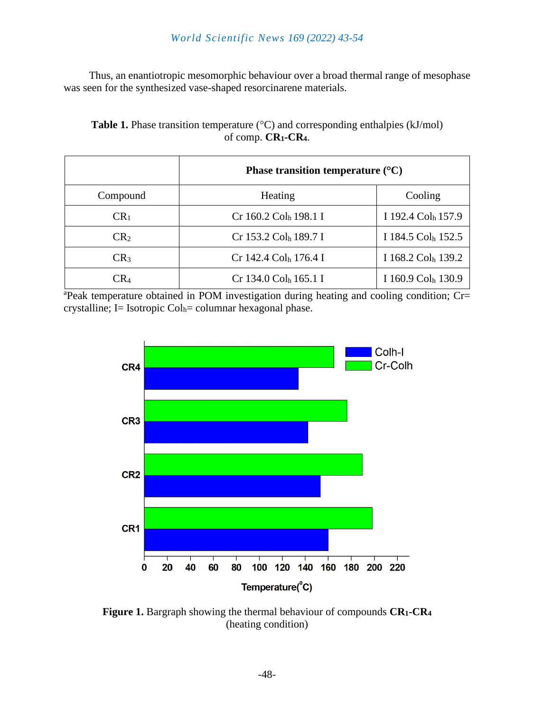# *World Scientific News 169 (2022) 43-54*

Thus, an enantiotropic mesomorphic behaviour over a broad thermal range of mesophase was seen for the synthesized vase-shaped resorcinarene materials.

| <b>Table 1.</b> Phase transition temperature $({}^{\circ}C)$ and corresponding enthalpies (kJ/mol) |
|----------------------------------------------------------------------------------------------------|
| of comp. $CR_1$ - $CR_4$ .                                                                         |

|                 | <b>Phase transition temperature <math>({}^{\circ}C)</math></b> |                                |
|-----------------|----------------------------------------------------------------|--------------------------------|
| Compound        | Heating                                                        | Cooling                        |
| CR <sub>1</sub> | Cr 160.2 Colh 198.1 I                                          | I 192.4 Col <sub>h</sub> 157.9 |
| CR <sub>2</sub> | Cr 153.2 Col <sub>h</sub> 189.7 I                              | I 184.5 Col <sub>h</sub> 152.5 |
| CR <sub>3</sub> | $Cr$ 142.4 $Colh$ 176.4 I                                      | I 168.2 Col <sub>h</sub> 139.2 |
| CR4             | Cr 134.0 Col <sub>h</sub> 165.1 I                              | I 160.9 Col <sub>h</sub> 130.9 |

<sup>a</sup>Peak temperature obtained in POM investigation during heating and cooling condition; Cr= crystalline; I= Isotropic  $Col<sub>h</sub>= columnar hexagonal phase.$ 



**Figure 1.** Bargraph showing the thermal behaviour of compounds **CR1-CR<sup>4</sup>** (heating condition)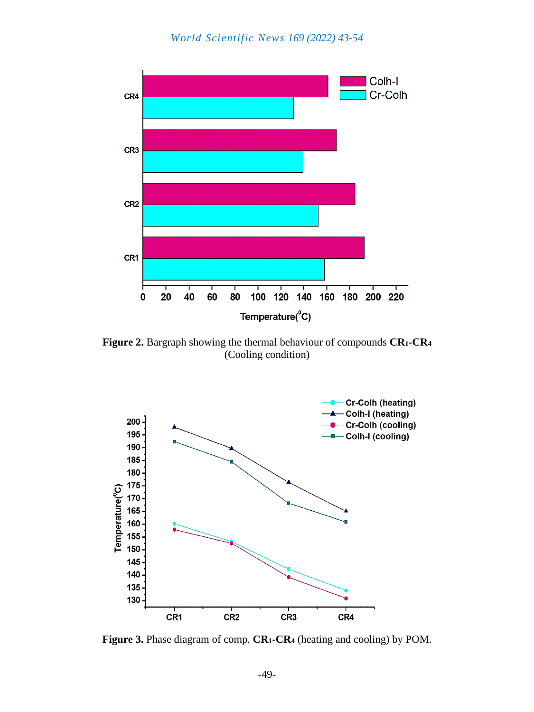*World Scientific News 169 (2022) 43-54*



**Figure 2.** Bargraph showing the thermal behaviour of compounds **CR1-CR<sup>4</sup>** (Cooling condition)



**Figure 3.** Phase diagram of comp. **CR1-CR<sup>4</sup>** (heating and cooling) by POM.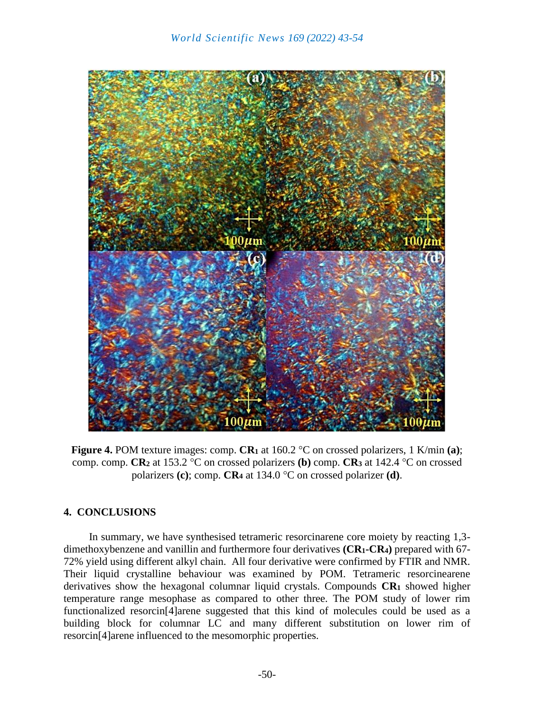

**Figure 4.** POM texture images: comp. **CR<sup>1</sup>** at 160.2 °C on crossed polarizers, 1 K/min **(a)**; comp. comp. **CR<sup>2</sup>** at 153.2 °C on crossed polarizers **(b)** comp. **CR<sup>3</sup>** at 142.4 °C on crossed polarizers **(c)**; comp. **CR<sup>4</sup>** at 134.0 °C on crossed polarizer **(d)**.

# **4. CONCLUSIONS**

In summary, we have synthesised tetrameric resorcinarene core moiety by reacting 1,3 dimethoxybenzene and vanillin and furthermore four derivatives **(CR1-CR4)** prepared with 67- 72% yield using different alkyl chain. All four derivative were confirmed by FTIR and NMR. Their liquid crystalline behaviour was examined by POM. Tetrameric resorcinearene derivatives show the hexagonal columnar liquid crystals. Compounds **CR<sup>1</sup>** showed higher temperature range mesophase as compared to other three. The POM study of lower rim functionalized resorcin[4]arene suggested that this kind of molecules could be used as a building block for columnar LC and many different substitution on lower rim of resorcin[4]arene influenced to the mesomorphic properties.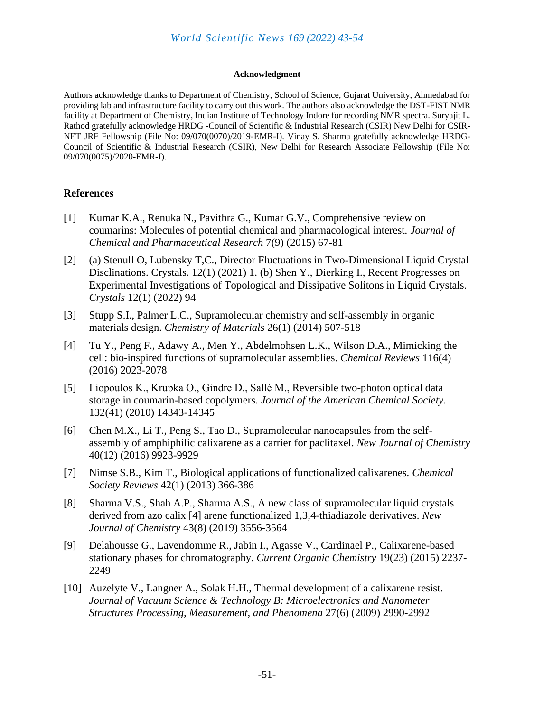#### **Acknowledgment**

Authors acknowledge thanks to Department of Chemistry, School of Science, Gujarat University, Ahmedabad for providing lab and infrastructure facility to carry out this work. The authors also acknowledge the DST-FIST NMR facility at Department of Chemistry, Indian Institute of Technology Indore for recording NMR spectra. Suryajit L. Rathod gratefully acknowledge HRDG -Council of Scientific & Industrial Research (CSIR) New Delhi for CSIR-NET JRF Fellowship (File No: 09/070(0070)/2019-EMR-I). Vinay S. Sharma gratefully acknowledge HRDG-Council of Scientific & Industrial Research (CSIR), New Delhi for Research Associate Fellowship (File No: 09/070(0075)/2020-EMR-I).

## **References**

- [1] Kumar K.A., Renuka N., Pavithra G., Kumar G.V., Comprehensive review on coumarins: Molecules of potential chemical and pharmacological interest. *Journal of Chemical and Pharmaceutical Research* 7(9) (2015) 67-81
- [2] (a) Stenull O, Lubensky T,C., Director Fluctuations in Two-Dimensional Liquid Crystal Disclinations. Crystals. 12(1) (2021) 1. (b) Shen Y., Dierking I., Recent Progresses on Experimental Investigations of Topological and Dissipative Solitons in Liquid Crystals. *Crystals* 12(1) (2022) 94
- [3] Stupp S.I., Palmer L.C., Supramolecular chemistry and self-assembly in organic materials design. *Chemistry of Materials* 26(1) (2014) 507-518
- [4] Tu Y., Peng F., Adawy A., Men Y., Abdelmohsen L.K., Wilson D.A., Mimicking the cell: bio-inspired functions of supramolecular assemblies. *Chemical Reviews* 116(4) (2016) 2023-2078
- [5] Iliopoulos K., Krupka O., Gindre D., Sallé M., Reversible two-photon optical data storage in coumarin-based copolymers. *Journal of the American Chemical Society*. 132(41) (2010) 14343-14345
- [6] Chen M.X., Li T., Peng S., Tao D., Supramolecular nanocapsules from the selfassembly of amphiphilic calixarene as a carrier for paclitaxel. *New Journal of Chemistry* 40(12) (2016) 9923-9929
- [7] Nimse S.B., Kim T., Biological applications of functionalized calixarenes. *Chemical Society Reviews* 42(1) (2013) 366-386
- [8] Sharma V.S., Shah A.P., Sharma A.S., A new class of supramolecular liquid crystals derived from azo calix [4] arene functionalized 1,3,4-thiadiazole derivatives. *New Journal of Chemistry* 43(8) (2019) 3556-3564
- [9] Delahousse G., Lavendomme R., Jabin I., Agasse V., Cardinael P., Calixarene-based stationary phases for chromatography. *Current Organic Chemistry* 19(23) (2015) 2237- 2249
- [10] Auzelyte V., Langner A., Solak H.H., Thermal development of a calixarene resist. *Journal of Vacuum Science & Technology B: Microelectronics and Nanometer Structures Processing, Measurement, and Phenomena* 27(6) (2009) 2990-2992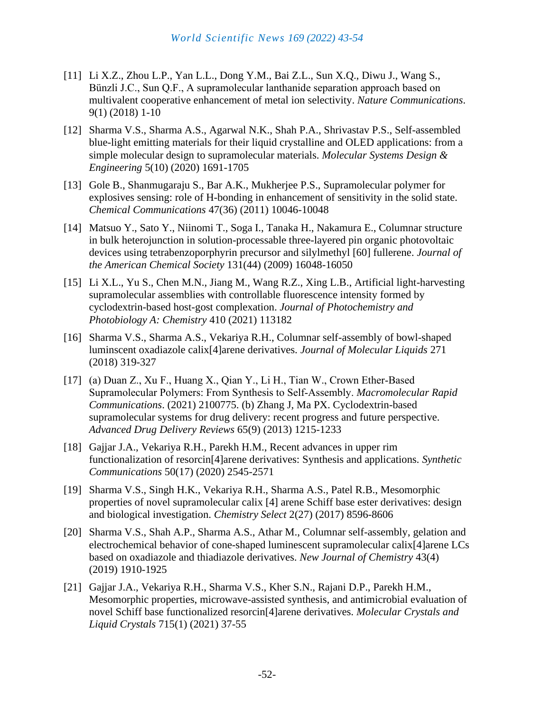- [11] Li X.Z., Zhou L.P., Yan L.L., Dong Y.M., Bai Z.L., Sun X.Q., Diwu J., Wang S., Bünzli J.C., Sun Q.F., A supramolecular lanthanide separation approach based on multivalent cooperative enhancement of metal ion selectivity. *Nature Communications*. 9(1) (2018) 1-10
- [12] Sharma V.S., Sharma A.S., Agarwal N.K., Shah P.A., Shrivastav P.S., Self-assembled blue-light emitting materials for their liquid crystalline and OLED applications: from a simple molecular design to supramolecular materials. *Molecular Systems Design & Engineering* 5(10) (2020) 1691-1705
- [13] Gole B., Shanmugaraju S., Bar A.K., Mukherjee P.S., Supramolecular polymer for explosives sensing: role of H-bonding in enhancement of sensitivity in the solid state. *Chemical Communications* 47(36) (2011) 10046-10048
- [14] Matsuo Y., Sato Y., Niinomi T., Soga I., Tanaka H., Nakamura E., Columnar structure in bulk heterojunction in solution-processable three-layered pin organic photovoltaic devices using tetrabenzoporphyrin precursor and silylmethyl [60] fullerene. *Journal of the American Chemical Society* 131(44) (2009) 16048-16050
- [15] Li X.L., Yu S., Chen M.N., Jiang M., Wang R.Z., Xing L.B., Artificial light-harvesting supramolecular assemblies with controllable fluorescence intensity formed by cyclodextrin-based host-gost complexation. *Journal of Photochemistry and Photobiology A: Chemistry* 410 (2021) 113182
- [16] Sharma V.S., Sharma A.S., Vekariya R.H., Columnar self-assembly of bowl-shaped luminscent oxadiazole calix[4]arene derivatives. *Journal of Molecular Liquids* 271 (2018) 319-327
- [17] (a) Duan Z., Xu F., Huang X., Qian Y., Li H., Tian W., Crown Ether-Based Supramolecular Polymers: From Synthesis to Self‐Assembly. *Macromolecular Rapid Communications*. (2021) 2100775. (b) Zhang J, Ma PX. Cyclodextrin-based supramolecular systems for drug delivery: recent progress and future perspective. *Advanced Drug Delivery Reviews* 65(9) (2013) 1215-1233
- [18] Gajjar J.A., Vekariya R.H., Parekh H.M., Recent advances in upper rim functionalization of resorcin[4]arene derivatives: Synthesis and applications. *Synthetic Communications* 50(17) (2020) 2545-2571
- [19] Sharma V.S., Singh H.K., Vekariya R.H., Sharma A.S., Patel R.B., Mesomorphic properties of novel supramolecular calix [4] arene Schiff base ester derivatives: design and biological investigation. *Chemistry Select* 2(27) (2017) 8596-8606
- [20] Sharma V.S., Shah A.P., Sharma A.S., Athar M., Columnar self-assembly, gelation and electrochemical behavior of cone-shaped luminescent supramolecular calix[4]arene LCs based on oxadiazole and thiadiazole derivatives. *New Journal of Chemistry* 43(4) (2019) 1910-1925
- [21] Gajjar J.A., Vekariya R.H., Sharma V.S., Kher S.N., Rajani D.P., Parekh H.M., Mesomorphic properties, microwave-assisted synthesis, and antimicrobial evaluation of novel Schiff base functionalized resorcin[4]arene derivatives. *Molecular Crystals and Liquid Crystals* 715(1) (2021) 37-55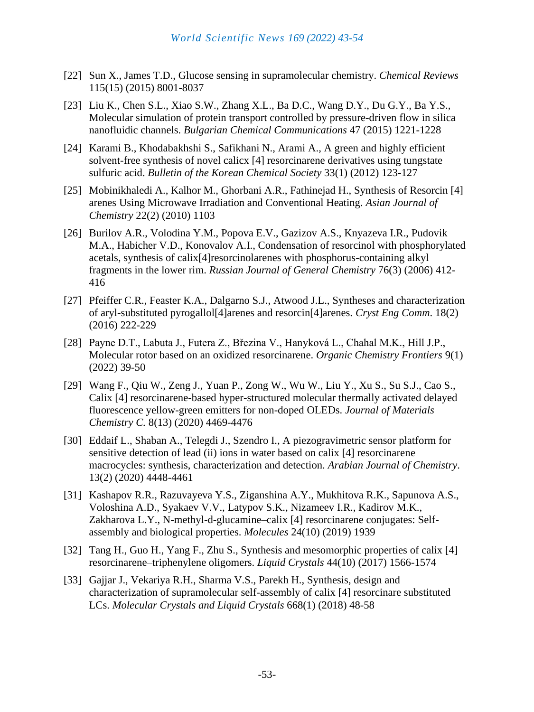- [22] Sun X., James T.D., Glucose sensing in supramolecular chemistry. *Chemical Reviews* 115(15) (2015) 8001-8037
- [23] Liu K., Chen S.L., Xiao S.W., Zhang X.L., Ba D.C., Wang D.Y., Du G.Y., Ba Y.S., Molecular simulation of protein transport controlled by pressure-driven flow in silica nanofluidic channels. *Bulgarian Chemical Communications* 47 (2015) 1221-1228
- [24] Karami B., Khodabakhshi S., Safikhani N., Arami A., A green and highly efficient solvent-free synthesis of novel calicx [4] resorcinarene derivatives using tungstate sulfuric acid. *Bulletin of the Korean Chemical Society* 33(1) (2012) 123-127
- [25] Mobinikhaledi A., Kalhor M., Ghorbani A.R., Fathinejad H., Synthesis of Resorcin [4] arenes Using Microwave Irradiation and Conventional Heating*. Asian Journal of Chemistry* 22(2) (2010) 1103
- [26] Burilov A.R., Volodina Y.M., Popova E.V., Gazizov A.S., Knyazeva I.R., Pudovik M.A., Habicher V.D., Konovalov A.I., Condensation of resorcinol with phosphorylated acetals, synthesis of calix[4]resorcinolarenes with phosphorus-containing alkyl fragments in the lower rim. *Russian Journal of General Chemistry* 76(3) (2006) 412- 416
- [27] Pfeiffer C.R., Feaster K.A., Dalgarno S.J., Atwood J.L., Syntheses and characterization of aryl-substituted pyrogallol[4]arenes and resorcin[4]arenes. *Cryst Eng Comm*. 18(2) (2016) 222-229
- [28] Payne D.T., Labuta J., Futera Z., Březina V., Hanyková L., Chahal M.K., Hill J.P., Molecular rotor based on an oxidized resorcinarene. *Organic Chemistry Frontiers* 9(1) (2022) 39-50
- [29] Wang F., Qiu W., Zeng J., Yuan P., Zong W., Wu W., Liu Y., Xu S., Su S.J., Cao S., Calix [4] resorcinarene-based hyper-structured molecular thermally activated delayed fluorescence yellow-green emitters for non-doped OLEDs. *Journal of Materials Chemistry C.* 8(13) (2020) 4469-4476
- [30] Eddaif L., Shaban A., Telegdi J., Szendro I., A piezogravimetric sensor platform for sensitive detection of lead (ii) ions in water based on calix [4] resorcinarene macrocycles: synthesis, characterization and detection. *Arabian Journal of Chemistry*. 13(2) (2020) 4448-4461
- [31] Kashapov R.R., Razuvayeva Y.S., Ziganshina A.Y., Mukhitova R.K., Sapunova A.S., Voloshina A.D., Syakaev V.V., Latypov S.K., Nizameev I.R., Kadirov M.K., Zakharova L.Y., N-methyl-d-glucamine–calix [4] resorcinarene conjugates: Selfassembly and biological properties. *Molecules* 24(10) (2019) 1939
- [32] Tang H., Guo H., Yang F., Zhu S., Synthesis and mesomorphic properties of calix [4] resorcinarene–triphenylene oligomers. *Liquid Crystals* 44(10) (2017) 1566-1574
- [33] Gajjar J., Vekariya R.H., Sharma V.S., Parekh H., Synthesis, design and characterization of supramolecular self-assembly of calix [4] resorcinare substituted LCs. *Molecular Crystals and Liquid Crystals* 668(1) (2018) 48-58